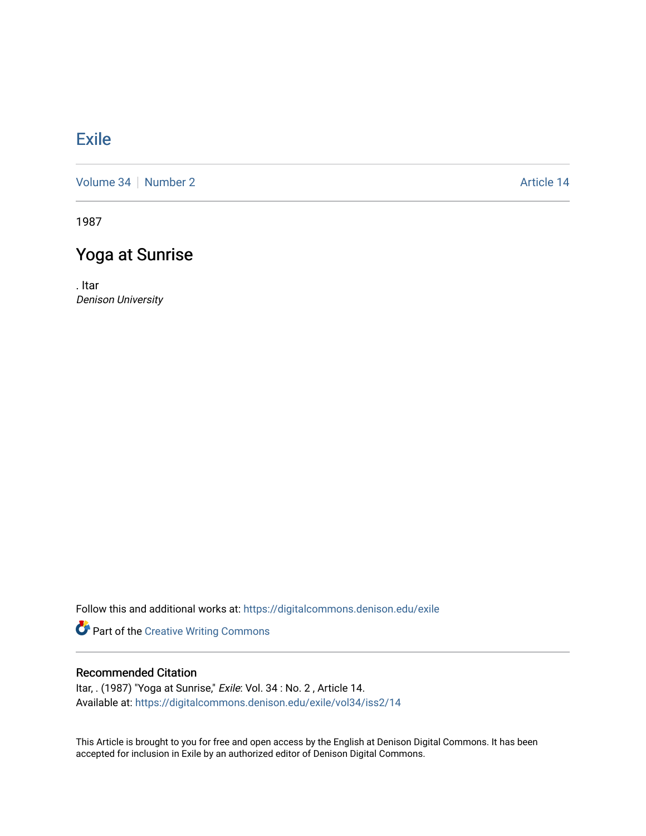## [Exile](https://digitalcommons.denison.edu/exile)

[Volume 34](https://digitalcommons.denison.edu/exile/vol34) [Number 2](https://digitalcommons.denison.edu/exile/vol34/iss2) Article 14

1987

## Yoga at Sunrise

. Itar Denison University

Follow this and additional works at: [https://digitalcommons.denison.edu/exile](https://digitalcommons.denison.edu/exile?utm_source=digitalcommons.denison.edu%2Fexile%2Fvol34%2Fiss2%2F14&utm_medium=PDF&utm_campaign=PDFCoverPages) 

Part of the [Creative Writing Commons](http://network.bepress.com/hgg/discipline/574?utm_source=digitalcommons.denison.edu%2Fexile%2Fvol34%2Fiss2%2F14&utm_medium=PDF&utm_campaign=PDFCoverPages) 

## Recommended Citation

Itar, . (1987) "Yoga at Sunrise," Exile: Vol. 34 : No. 2, Article 14. Available at: [https://digitalcommons.denison.edu/exile/vol34/iss2/14](https://digitalcommons.denison.edu/exile/vol34/iss2/14?utm_source=digitalcommons.denison.edu%2Fexile%2Fvol34%2Fiss2%2F14&utm_medium=PDF&utm_campaign=PDFCoverPages)

This Article is brought to you for free and open access by the English at Denison Digital Commons. It has been accepted for inclusion in Exile by an authorized editor of Denison Digital Commons.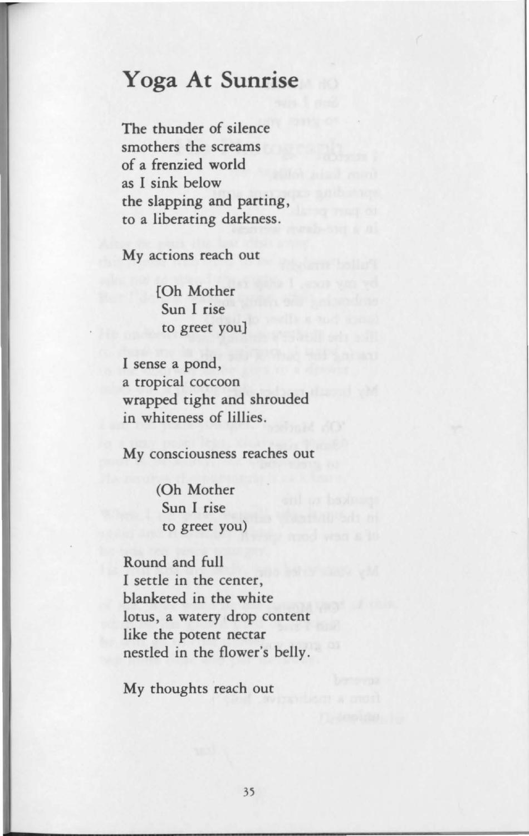## **Yoga At Sunrise**

The thunder of silence smothers the screams of a frenzied world as I sink below the slapping and parting, to a liberating darkness.

My actions reach out

[Oh Mother Sun I rise to greet you]

I sense a pond, a tropical coccoon wrapped tight and shrouded in whiteness of lillies.

My consciousness reaches out

(Oh Mother Sun I rise to greet you)

Round and full I settle in the center, blanketed in the white lotus, a watery drop content like the potent nectar nestled in the flower's belly.

My thoughts reach out